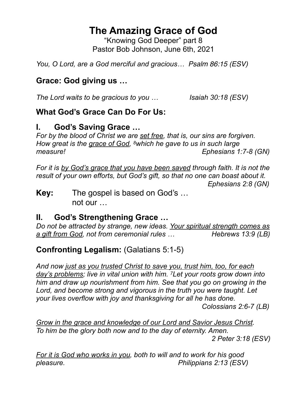# **The Amazing Grace of God**

"Knowing God Deeper" part 8 Pastor Bob Johnson, June 6th, 2021

*You, O Lord, are a God merciful and gracious… Psalm 86:15 (ESV)* 

## **Grace: God giving us …**

*The Lord waits to be gracious to you … Isaiah 30:18 (ESV)*

## **What God's Grace Can Do For Us:**

## **I. God's Saving Grace …**

*For by the blood of Christ we are set free, that is, our sins are forgiven. How great is the grace of God, 8which he gave to us in such large measure! Ephesians 1:7-8 (GN)*

*For it is by God's grace that you have been saved through faith. It is not the result of your own efforts, but God's gift, so that no one can boast about it. Ephesians 2:8 (GN)*

**Key:** The gospel is based on God's … not our …

## **II. God's Strengthening Grace …**

*Do not be attracted by strange, new ideas. Your spiritual strength comes as a gift from God, not from ceremonial rules … Hebrews 13:9 (LB)*

## **Confronting Legalism:** (Galatians 5:1-5)

*And now just as you trusted Christ to save you, trust him, too, for each day's problems; live in vital union with him. 7Let your roots grow down into him and draw up nourishment from him. See that you go on growing in the Lord, and become strong and vigorous in the truth you were taught. Let your lives overflow with joy and thanksgiving for all he has done.* 

 *Colossians 2:6-7 (LB)*

*Grow in the grace and knowledge of our Lord and Savior Jesus Christ. To him be the glory both now and to the day of eternity. Amen. 2 Peter 3:18 (ESV)*

*For it is God who works in you, both to will and to work for his good pleasure. Philippians 2:13 (ESV)*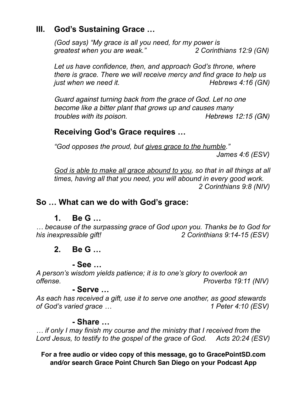### **III. God's Sustaining Grace …**

*(God says) "My grace is all you need, for my power is greatest when you are weak." 2 Corinthians 12:9 (GN)*

*Let us have confidence, then, and approach God's throne, where there is grace. There we will receive mercy and find grace to help us just when we need it.* All the manufacture of the Hebrews 4:16 (GN)

*Guard against turning back from the grace of God. Let no one become like a bitter plant that grows up and causes many troubles with its poison.* The *Hebrews 12:15 (GN)* 

#### **Receiving God's Grace requires …**

*"God opposes the proud, but gives grace to the humble." James 4:6 (ESV)*

*God is able to make all grace abound to you, so that in all things at all times, having all that you need, you will abound in every good work. 2 Corinthians 9:8 (NIV)*

#### **So … What can we do with God's grace:**

#### **1. Be G …**

*… because of the surpassing grace of God upon you. Thanks be to God for his inexpressible gift! 2 Corinthians 9:14-15 (ESV)*

#### **2. Be G …**

#### **- See …**

*A person's wisdom yields patience; it is to one's glory to overlook an offense. Proverbs 19:11 (NIV)*

#### **- Serve …**

*As each has received a gift, use it to serve one another, as good stewards of God's varied grace … 1 Peter 4:10 (ESV)*

#### **- Share …**

*… if only I may finish my course and the ministry that I received from the Lord Jesus, to testify to the gospel of the grace of God. Acts 20:24 (ESV)*

**For a free audio or video copy of this message, go to GracePointSD.com and/or search Grace Point Church San Diego on your Podcast App**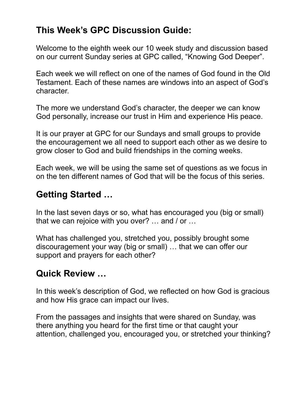# **This Week's GPC Discussion Guide:**

Welcome to the eighth week our 10 week study and discussion based on our current Sunday series at GPC called, "Knowing God Deeper".

Each week we will reflect on one of the names of God found in the Old Testament. Each of these names are windows into an aspect of God's character.

The more we understand God's character, the deeper we can know God personally, increase our trust in Him and experience His peace.

It is our prayer at GPC for our Sundays and small groups to provide the encouragement we all need to support each other as we desire to grow closer to God and build friendships in the coming weeks.

Each week, we will be using the same set of questions as we focus in on the ten different names of God that will be the focus of this series.

## **Getting Started …**

In the last seven days or so, what has encouraged you (big or small) that we can rejoice with you over? … and / or …

What has challenged you, stretched you, possibly brought some discouragement your way (big or small) … that we can offer our support and prayers for each other?

# **Quick Review …**

In this week's description of God, we reflected on how God is gracious and how His grace can impact our lives.

From the passages and insights that were shared on Sunday, was there anything you heard for the first time or that caught your attention, challenged you, encouraged you, or stretched your thinking?